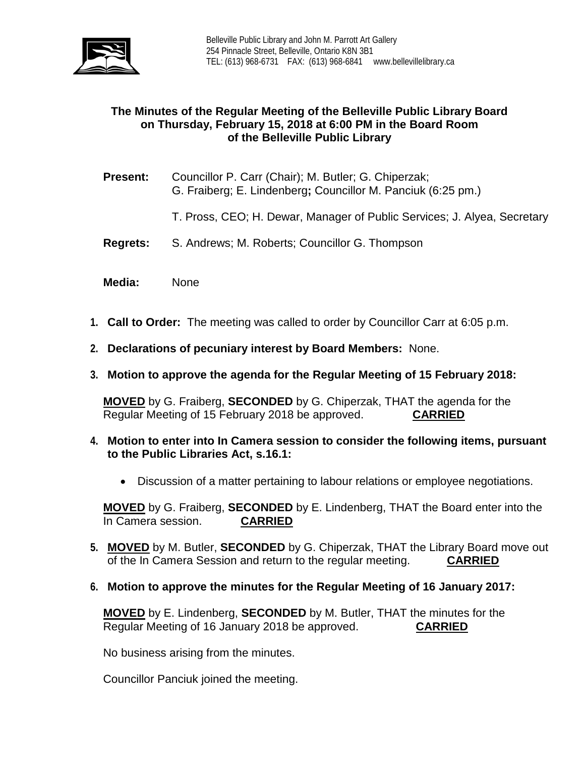

# **The Minutes of the Regular Meeting of the Belleville Public Library Board on Thursday, February 15, 2018 at 6:00 PM in the Board Room of the Belleville Public Library**

- **Present:** Councillor P. Carr (Chair); M. Butler; G. Chiperzak; G. Fraiberg; E. Lindenberg**;** Councillor M. Panciuk (6:25 pm.)
	- T. Pross, CEO; H. Dewar, Manager of Public Services; J. Alyea, Secretary
- **Regrets:** S. Andrews; M. Roberts; Councillor G. Thompson
- **Media:** None
- **1. Call to Order:** The meeting was called to order by Councillor Carr at 6:05 p.m.
- **2. Declarations of pecuniary interest by Board Members:** None.
- **3. Motion to approve the agenda for the Regular Meeting of 15 February 2018:**

**MOVED** by G. Fraiberg, **SECONDED** by G. Chiperzak, THAT the agenda for the Regular Meeting of 15 February 2018 be approved. **CARRIED**

- **4. Motion to enter into In Camera session to consider the following items, pursuant to the Public Libraries Act, s.16.1:**
	- Discussion of a matter pertaining to labour relations or employee negotiations.

**MOVED** by G. Fraiberg, **SECONDED** by E. Lindenberg, THAT the Board enter into the In Camera session.

- **5. MOVED** by M. Butler, **SECONDED** by G. Chiperzak, THAT the Library Board move out of the In Camera Session and return to the regular meeting. **CARRIED**
- **6. Motion to approve the minutes for the Regular Meeting of 16 January 2017:**

**MOVED** by E. Lindenberg, **SECONDED** by M. Butler, THAT the minutes for the Regular Meeting of 16 January 2018 be approved. **CARRIED**

No business arising from the minutes.

Councillor Panciuk joined the meeting.